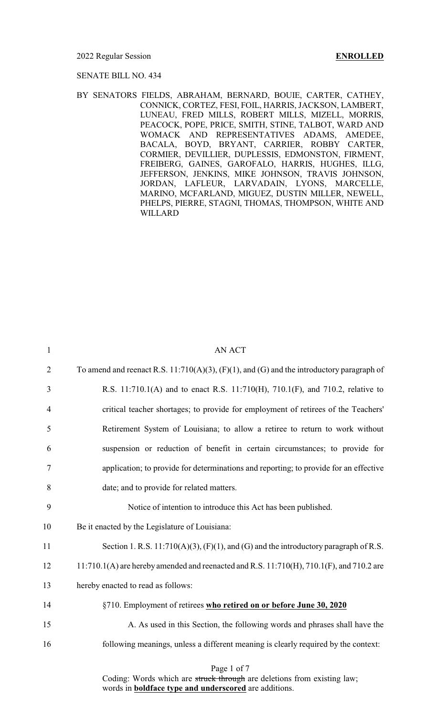### 2022 Regular Session **ENROLLED**

### SENATE BILL NO. 434

BY SENATORS FIELDS, ABRAHAM, BERNARD, BOUIE, CARTER, CATHEY, CONNICK, CORTEZ, FESI, FOIL, HARRIS, JACKSON, LAMBERT, LUNEAU, FRED MILLS, ROBERT MILLS, MIZELL, MORRIS, PEACOCK, POPE, PRICE, SMITH, STINE, TALBOT, WARD AND WOMACK AND REPRESENTATIVES ADAMS, AMEDEE, BACALA, BOYD, BRYANT, CARRIER, ROBBY CARTER, CORMIER, DEVILLIER, DUPLESSIS, EDMONSTON, FIRMENT, FREIBERG, GAINES, GAROFALO, HARRIS, HUGHES, ILLG, JEFFERSON, JENKINS, MIKE JOHNSON, TRAVIS JOHNSON, JORDAN, LAFLEUR, LARVADAIN, LYONS, MARCELLE, MARINO, MCFARLAND, MIGUEZ, DUSTIN MILLER, NEWELL, PHELPS, PIERRE, STAGNI, THOMAS, THOMPSON, WHITE AND WILLARD

| $\mathbf{1}$   | <b>AN ACT</b>                                                                                     |
|----------------|---------------------------------------------------------------------------------------------------|
| $\overline{2}$ | To amend and reenact R.S. $11:710(A)(3)$ , $(F)(1)$ , and $(G)$ and the introductory paragraph of |
| 3              | R.S. 11:710.1(A) and to enact R.S. 11:710(H), 710.1(F), and 710.2, relative to                    |
| $\overline{4}$ | critical teacher shortages; to provide for employment of retirees of the Teachers'                |
| 5              | Retirement System of Louisiana; to allow a retiree to return to work without                      |
| 6              | suspension or reduction of benefit in certain circumstances; to provide for                       |
| 7              | application; to provide for determinations and reporting; to provide for an effective             |
| 8              | date; and to provide for related matters.                                                         |
| 9              | Notice of intention to introduce this Act has been published.                                     |
| 10             | Be it enacted by the Legislature of Louisiana:                                                    |
| 11             | Section 1. R.S. $11:710(A)(3)$ , $(F)(1)$ , and $(G)$ and the introductory paragraph of R.S.      |
| 12             | 11:710.1(A) are hereby amended and reenacted and R.S. 11:710(H), 710.1(F), and 710.2 are          |
| 13             | hereby enacted to read as follows:                                                                |
| 14             | §710. Employment of retirees who retired on or before June 30, 2020                               |
| 15             | A. As used in this Section, the following words and phrases shall have the                        |
| 16             | following meanings, unless a different meaning is clearly required by the context:                |
|                | Page 1 of 7<br>Coding: Words which are struck through are deletions from existing law;            |

words in **boldface type and underscored** are additions.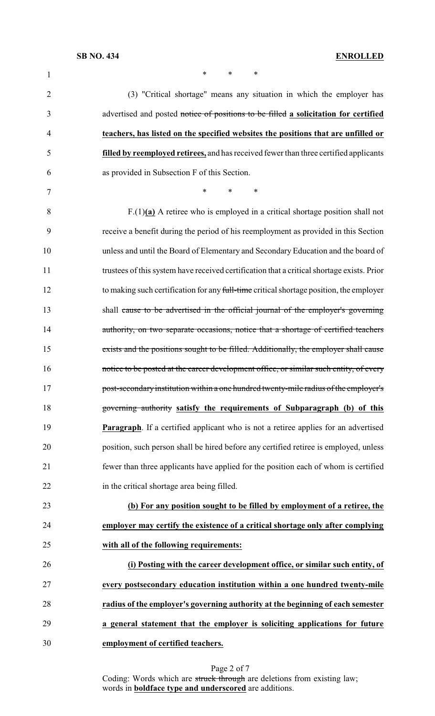| 1              | *<br>∗<br>∗                                                                                |
|----------------|--------------------------------------------------------------------------------------------|
| $\overline{2}$ | (3) "Critical shortage" means any situation in which the employer has                      |
| 3              | advertised and posted notice of positions to be filled a solicitation for certified        |
| 4              | teachers, has listed on the specified websites the positions that are unfilled or          |
| 5              | filled by reemployed retirees, and has received fewer than three certified applicants      |
| 6              | as provided in Subsection F of this Section.                                               |
| 7              | $\ast$<br>$\ast$<br>∗                                                                      |
| 8              | $F(1)(a)$ A retiree who is employed in a critical shortage position shall not              |
| 9              | receive a benefit during the period of his reemployment as provided in this Section        |
| 10             | unless and until the Board of Elementary and Secondary Education and the board of          |
| 11             | trustees of this system have received certification that a critical shortage exists. Prior |
| 12             | to making such certification for any full-time critical shortage position, the employer    |
| 13             | shall cause to be advertised in the official journal of the employer's governing           |
| 14             | authority, on two separate occasions, notice that a shortage of certified teachers         |
| 15             | exists and the positions sought to be filled. Additionally, the employer shall cause       |
| 16             | notice to be posted at the career development office, or similar such entity, of every     |
| 17             | post-secondary institution within a one hundred twenty-mile radius of the employer's       |
| 18             | governing authority satisfy the requirements of Subparagraph (b) of this                   |
| 19             | <b>Paragraph.</b> If a certified applicant who is not a retiree applies for an advertised  |
| 20             | position, such person shall be hired before any certified retiree is employed, unless      |
| 21             | fewer than three applicants have applied for the position each of whom is certified        |
| 22             | in the critical shortage area being filled.                                                |
| 23             | (b) For any position sought to be filled by employment of a retiree, the                   |
| 24             | employer may certify the existence of a critical shortage only after complying             |
| 25             | with all of the following requirements:                                                    |
| 26             | (i) Posting with the career development office, or similar such entity, of                 |
| 27             | every postsecondary education institution within a one hundred twenty-mile                 |
| 28             | radius of the employer's governing authority at the beginning of each semester             |
| 29             | a general statement that the employer is soliciting applications for future                |
| 30             | employment of certified teachers.                                                          |

Page 2 of 7 Coding: Words which are struck through are deletions from existing law; words in **boldface type and underscored** are additions.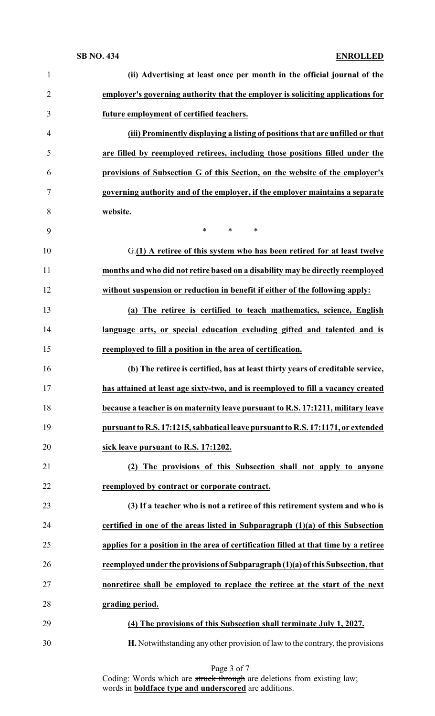| $\mathbf{1}$   | (ii) Advertising at least once per month in the official journal of the              |
|----------------|--------------------------------------------------------------------------------------|
| $\overline{2}$ | employer's governing authority that the employer is soliciting applications for      |
| 3              | future employment of certified teachers.                                             |
| $\overline{4}$ | (iii) Prominently displaying a listing of positions that are unfilled or that        |
| 5              | are filled by reemployed retirees, including those positions filled under the        |
| 6              | provisions of Subsection G of this Section, on the website of the employer's         |
| $\tau$         | governing authority and of the employer, if the employer maintains a separate        |
| 8              | website.                                                                             |
| 9              | $\ast$<br>$\ast$<br>$\ast$                                                           |
| 10             | G.(1) A retiree of this system who has been retired for at least twelve              |
| 11             | months and who did not retire based on a disability may be directly reemployed       |
| 12             | without suspension or reduction in benefit if either of the following apply:         |
| 13             | (a) The retiree is certified to teach mathematics, science, English                  |
| 14             | language arts, or special education excluding gifted and talented and is             |
| 15             | reemployed to fill a position in the area of certification.                          |
| 16             | (b) The retiree is certified, has at least thirty years of creditable service,       |
| 17             | has attained at least age sixty-two, and is reemployed to fill a vacancy created     |
| 18             | because a teacher is on maternity leave pursuant to R.S. 17:1211, military leave     |
| 19             | pursuant to R.S. 17:1215, sabbatical leave pursuant to R.S. 17:1171, or extended     |
| 20             | sick leave pursuant to R.S. 17:1202.                                                 |
| 21             | (2) The provisions of this Subsection shall not apply to anyone                      |
| 22             | reemployed by contract or corporate contract.                                        |
| 23             | (3) If a teacher who is not a retiree of this retirement system and who is           |
| 24             | certified in one of the areas listed in Subparagraph $(1)(a)$ of this Subsection     |
| 25             | applies for a position in the area of certification filled at that time by a retiree |
| 26             | reemployed under the provisions of Subparagraph (1)(a) of this Subsection, that      |
| 27             | nonretiree shall be employed to replace the retiree at the start of the next         |
| 28             | grading period.                                                                      |
| 29             | (4) The provisions of this Subsection shall terminate July 1, 2027.                  |
| 30             | H. Notwithstanding any other provision of law to the contrary, the provisions        |

Page 3 of 7 Coding: Words which are struck through are deletions from existing law; words in **boldface type and underscored** are additions.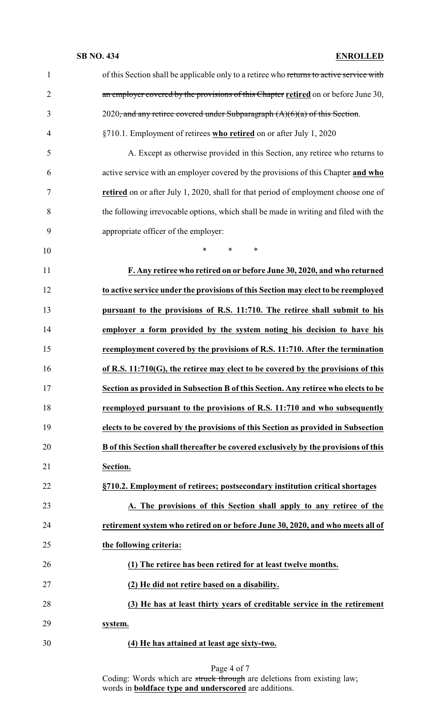| $\mathbf{1}$   | of this Section shall be applicable only to a retiree who returns to active service with |
|----------------|------------------------------------------------------------------------------------------|
| $\overline{2}$ | an employer covered by the provisions of this Chapter retired on or before June 30,      |
| 3              | 2020, and any retiree covered under Subparagraph $(A)(6)(a)$ of this Section.            |
| $\overline{4}$ | §710.1. Employment of retirees who retired on or after July 1, 2020                      |
| 5              | A. Except as otherwise provided in this Section, any retiree who returns to              |
| 6              | active service with an employer covered by the provisions of this Chapter and who        |
| 7              | retired on or after July 1, 2020, shall for that period of employment choose one of      |
| 8              | the following irrevocable options, which shall be made in writing and filed with the     |
| 9              | appropriate officer of the employer:                                                     |
| 10             | *<br>$\ast$<br>∗                                                                         |
| 11             | F. Any retiree who retired on or before June 30, 2020, and who returned                  |
| 12             | to active service under the provisions of this Section may elect to be reemployed        |
| 13             | pursuant to the provisions of R.S. 11:710. The retiree shall submit to his               |
| 14             | employer a form provided by the system noting his decision to have his                   |
| 15             | reemployment covered by the provisions of R.S. 11:710. After the termination             |
| 16             | of R.S. 11:710(G), the retiree may elect to be covered by the provisions of this         |
| 17             | Section as provided in Subsection B of this Section. Any retiree who elects to be        |
| 18             | reemployed pursuant to the provisions of R.S. 11:710 and who subsequently                |
| 19             | elects to be covered by the provisions of this Section as provided in Subsection         |
| 20             | B of this Section shall thereafter be covered exclusively by the provisions of this      |
| 21             | Section.                                                                                 |
| 22             | §710.2. Employment of retirees; postsecondary institution critical shortages             |
| 23             | A. The provisions of this Section shall apply to any retiree of the                      |
| 24             | retirement system who retired on or before June 30, 2020, and who meets all of           |
| 25             | the following criteria:                                                                  |
| 26             | (1) The retiree has been retired for at least twelve months.                             |
| 27             | (2) He did not retire based on a disability.                                             |
| 28             | (3) He has at least thirty years of creditable service in the retirement                 |
| 29             | system.                                                                                  |
| 30             | (4) He has attained at least age sixty-two.                                              |

### Page 4 of 7

Coding: Words which are struck through are deletions from existing law; words in **boldface type and underscored** are additions.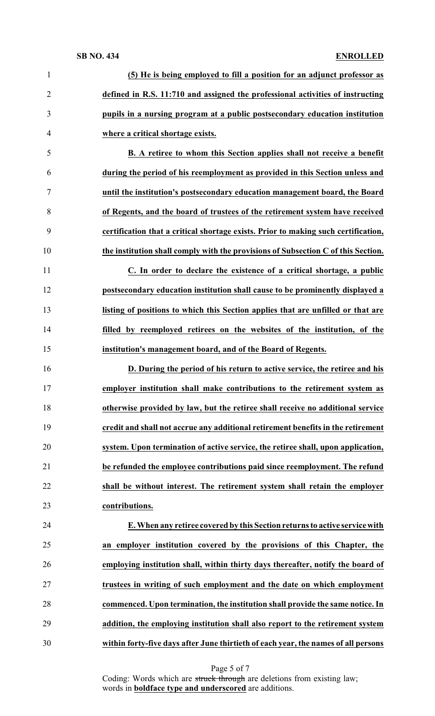| $\mathbf{1}$   | (5) He is being employed to fill a position for an adjunct professor as            |
|----------------|------------------------------------------------------------------------------------|
| $\overline{2}$ | defined in R.S. 11:710 and assigned the professional activities of instructing     |
| 3              | pupils in a nursing program at a public postsecondary education institution        |
| 4              | where a critical shortage exists.                                                  |
| 5              | B. A retiree to whom this Section applies shall not receive a benefit              |
| 6              | during the period of his reemployment as provided in this Section unless and       |
| 7              | until the institution's postsecondary education management board, the Board        |
| 8              | of Regents, and the board of trustees of the retirement system have received       |
| 9              | certification that a critical shortage exists. Prior to making such certification, |
| 10             | the institution shall comply with the provisions of Subsection C of this Section.  |
| 11             | C. In order to declare the existence of a critical shortage, a public              |
| 12             | postsecondary education institution shall cause to be prominently displayed a      |
| 13             | listing of positions to which this Section applies that are unfilled or that are   |
| 14             | filled by reemployed retirees on the websites of the institution, of the           |
| 15             | institution's management board, and of the Board of Regents.                       |
| 16             | D. During the period of his return to active service, the retiree and his          |
|                |                                                                                    |
|                | employer institution shall make contributions to the retirement system as          |
| 18             | otherwise provided by law, but the retiree shall receive no additional service     |
| 17<br>19       | credit and shall not accrue any additional retirement benefits in the retirement   |
| 20             | system. Upon termination of active service, the retiree shall, upon application,   |
| 21             | be refunded the employee contributions paid since reemployment. The refund         |
| 22             | shall be without interest. The retirement system shall retain the employer         |
| 23             | contributions.                                                                     |
| 24             | E. When any retiree covered by this Section returns to active service with         |
| 25             | an employer institution covered by the provisions of this Chapter, the             |
| 26             | employing institution shall, within thirty days thereafter, notify the board of    |
| 27             | trustees in writing of such employment and the date on which employment            |
| 28             | commenced. Upon termination, the institution shall provide the same notice. In     |
| 29             | addition, the employing institution shall also report to the retirement system     |

Page 5 of 7

Coding: Words which are struck through are deletions from existing law; words in **boldface type and underscored** are additions.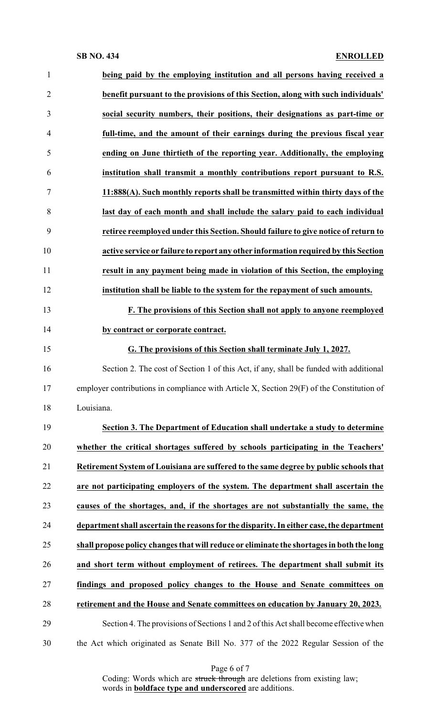| $\mathbf{1}$   | being paid by the employing institution and all persons having received a                 |
|----------------|-------------------------------------------------------------------------------------------|
| $\overline{2}$ | benefit pursuant to the provisions of this Section, along with such individuals'          |
| 3              | social security numbers, their positions, their designations as part-time or              |
| $\overline{4}$ | full-time, and the amount of their earnings during the previous fiscal year               |
| 5              | ending on June thirtieth of the reporting year. Additionally, the employing               |
| 6              | institution shall transmit a monthly contributions report pursuant to R.S.                |
| $\overline{7}$ | 11:888(A). Such monthly reports shall be transmitted within thirty days of the            |
| 8              | last day of each month and shall include the salary paid to each individual               |
| 9              | retiree reemployed under this Section. Should failure to give notice of return to         |
| 10             | active service or failure to report any other information required by this Section        |
| 11             | result in any payment being made in violation of this Section, the employing              |
| 12             | institution shall be liable to the system for the repayment of such amounts.              |
| 13             | F. The provisions of this Section shall not apply to anyone reemployed                    |
| 14             | by contract or corporate contract.                                                        |
| 15             | G. The provisions of this Section shall terminate July 1, 2027.                           |
| 16             | Section 2. The cost of Section 1 of this Act, if any, shall be funded with additional     |
| 17             | employer contributions in compliance with Article X, Section 29(F) of the Constitution of |
| 18             | Louisiana.                                                                                |
| 19             | Section 3. The Department of Education shall undertake a study to determine               |
| 20             | whether the critical shortages suffered by schools participating in the Teachers'         |
| 21             | Retirement System of Louisiana are suffered to the same degree by public schools that     |
| 22             | are not participating employers of the system. The department shall ascertain the         |
| 23             | causes of the shortages, and, if the shortages are not substantially the same, the        |
| 24             | department shall ascertain the reasons for the disparity. In either case, the department  |
| 25             | shall propose policy changes that will reduce or eliminate the shortages in both the long |
| 26             | and short term without employment of retirees. The department shall submit its            |
| 27             | findings and proposed policy changes to the House and Senate committees on                |
| 28             | retirement and the House and Senate committees on education by January 20, 2023.          |
| 29             | Section 4. The provisions of Sections 1 and 2 of this Act shall become effective when     |
| 30             | the Act which originated as Senate Bill No. 377 of the 2022 Regular Session of the        |

Page 6 of 7

Coding: Words which are struck through are deletions from existing law; words in **boldface type and underscored** are additions.